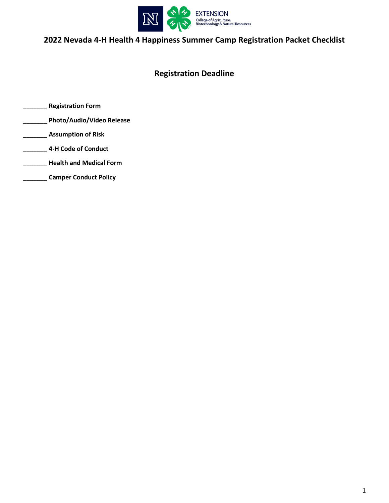

# **2022 Nevada 4-H Health 4 Happiness Summer Camp Registration Packet Checklist**

## **Registration Deadline**

- **\_\_\_\_\_\_\_ Registration Form**
- **\_\_\_\_\_\_\_ Photo/Audio/Video Release**
- **\_\_\_\_\_\_\_ Assumption of Risk**
- **\_\_\_\_\_\_\_ 4-H Code of Conduct**
- **\_\_\_\_\_\_\_ Health and Medical Form**
- **\_\_\_\_\_\_\_ Camper Conduct Policy**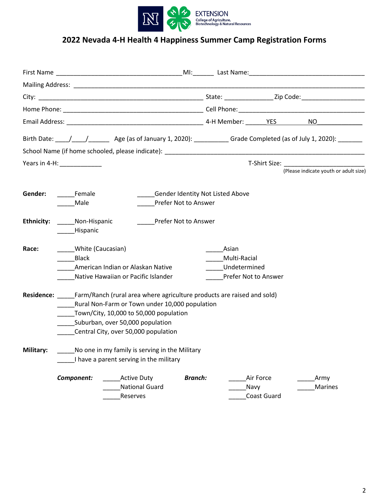

# **2022 Nevada 4-H Health 4 Happiness Summer Camp Registration Forms**

|                  |                                                                                           |                                                                                                                                                                                                                                                           |                                                                 |                                                               |                                 | Birth Date: \____/ _____/ _________ Age (as of January 1, 2020): _____________Grade Completed (as of July 1, 2020): ________ |
|------------------|-------------------------------------------------------------------------------------------|-----------------------------------------------------------------------------------------------------------------------------------------------------------------------------------------------------------------------------------------------------------|-----------------------------------------------------------------|---------------------------------------------------------------|---------------------------------|------------------------------------------------------------------------------------------------------------------------------|
|                  |                                                                                           |                                                                                                                                                                                                                                                           |                                                                 |                                                               |                                 |                                                                                                                              |
|                  | Years in 4-H: Vears in 4-H:                                                               |                                                                                                                                                                                                                                                           |                                                                 |                                                               |                                 |                                                                                                                              |
|                  |                                                                                           |                                                                                                                                                                                                                                                           |                                                                 |                                                               |                                 | (Please indicate youth or adult size)                                                                                        |
| Gender:          | <b>Female</b><br>Male                                                                     |                                                                                                                                                                                                                                                           | <b>Gender Identity Not Listed Above</b><br>Prefer Not to Answer |                                                               |                                 |                                                                                                                              |
| Ethnicity:       | Non-Hispanic<br><b>Hispanic</b>                                                           |                                                                                                                                                                                                                                                           | Prefer Not to Answer                                            |                                                               |                                 |                                                                                                                              |
| Race:            | White (Caucasian)<br>Black                                                                | American Indian or Alaskan Native<br>Native Hawaiian or Pacific Islander                                                                                                                                                                                  |                                                                 | Asian<br>Multi-Racial<br>Undetermined<br>Prefer Not to Answer |                                 |                                                                                                                              |
|                  |                                                                                           | Residence: Farm/Ranch (rural area where agriculture products are raised and sold)<br>Rural Non-Farm or Town under 10,000 population<br>Town/City, 10,000 to 50,000 population<br>Suburban, over 50,000 population<br>Central City, over 50,000 population |                                                                 |                                                               |                                 |                                                                                                                              |
| <b>Military:</b> | No one in my family is serving in the Military<br>I have a parent serving in the military |                                                                                                                                                                                                                                                           |                                                                 |                                                               |                                 |                                                                                                                              |
|                  | Component:                                                                                | <b>Active Duty</b><br><b>National Guard</b><br>Reserves                                                                                                                                                                                                   | <b>Branch:</b>                                                  | Navy                                                          | Air Force<br><b>Coast Guard</b> | Army<br>Marines                                                                                                              |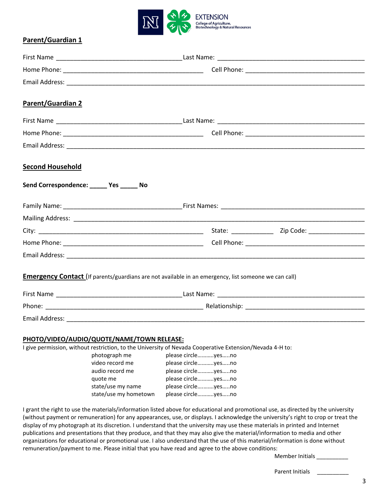

### **Parent/Guardian 1**

| Parent/Guardian 2                         |                                                                                                             |
|-------------------------------------------|-------------------------------------------------------------------------------------------------------------|
|                                           |                                                                                                             |
|                                           |                                                                                                             |
|                                           |                                                                                                             |
| <b>Second Household</b>                   |                                                                                                             |
| Send Correspondence: ______ Yes ______ No |                                                                                                             |
|                                           |                                                                                                             |
|                                           |                                                                                                             |
|                                           |                                                                                                             |
|                                           |                                                                                                             |
|                                           |                                                                                                             |
|                                           | <b>Emergency Contact</b> (If parents/guardians are not available in an emergency, list someone we can call) |
|                                           |                                                                                                             |
|                                           |                                                                                                             |
|                                           |                                                                                                             |
|                                           |                                                                                                             |

### **PHOTO/VIDEO/AUDIO/QUOTE/NAME/TOWN RELEASE:**

I give permission, without restriction, to the University of Nevada Cooperative Extension/Nevada 4-H to:

| photograph me         | please circleyesno |
|-----------------------|--------------------|
| video record me       | please circleyesno |
| audio record me       | please circleyesno |
| quote me              | please circleyesno |
| state/use my name     | please circleyesno |
| state/use my hometown | please circleyesno |
|                       |                    |

I grant the right to use the materials/information listed above for educational and promotional use, as directed by the university (without payment or remuneration) for any appearances, use, or displays. I acknowledge the university's right to crop or treat the display of my photograph at its discretion. I understand that the university may use these materials in printed and Internet publications and presentations that they produce, and that they may also give the material/information to media and other organizations for educational or promotional use. I also understand that the use of this material/information is done without remuneration/payment to me. Please initial that you have read and agree to the above conditions:

Member Initials \_\_\_\_\_\_

Parent Initials \_\_\_\_\_\_\_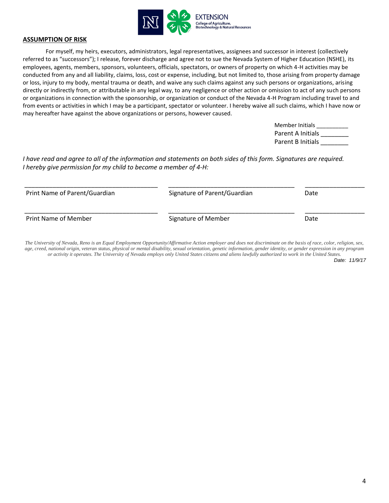

#### **ASSUMPTION OF RISK**

For myself, my heirs, executors, administrators, legal representatives, assignees and successor in interest (collectively referred to as "successors"); I release, forever discharge and agree not to sue the Nevada System of Higher Education (NSHE), its employees, agents, members, sponsors, volunteers, officials, spectators, or owners of property on which 4-H activities may be conducted from any and all liability, claims, loss, cost or expense, including, but not limited to, those arising from property damage or loss, injury to my body, mental trauma or death, and waive any such claims against any such persons or organizations, arising directly or indirectly from, or attributable in any legal way, to any negligence or other action or omission to act of any such persons or organizations in connection with the sponsorship, or organization or conduct of the Nevada 4-H Program including travel to and from events or activities in which I may be a participant, spectator or volunteer. I hereby waive all such claims, which I have now or may hereafter have against the above organizations or persons, however caused.

> Member Initials \_\_\_\_\_\_\_\_\_\_ Parent A Initials Parent B Initials

*I have read and agree to all of the information and statements on both sides of this form. Signatures are required. I hereby give permission for my child to become a member of 4-H:*

| Print Name of Parent/Guardian | Signature of Parent/Guardian | Date |
|-------------------------------|------------------------------|------|
| Print Name of Member          | Signature of Member          | Date |

*The University of Nevada, Reno is an Equal Employment Opportunity/Affirmative Action employer and does not discriminate on the basis of race, color, religion, sex, age, creed, national origin, veteran status, physical or mental disability, sexual orientation, genetic information, gender identity, or gender expression in any program or activity it operates. The University of Nevada employs only United States citizens and aliens lawfully authorized to work in the United States.*

*Date: 11/9/17*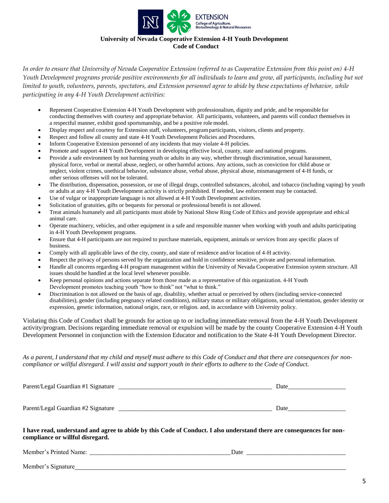

# **University of Nevada Cooperative Extension 4-H Youth Development**

**Code of Conduct**

*In order to ensure that University of Nevada Cooperative Extension (referred to as Cooperative Extension from this point on) 4-H Youth Development programs provide positive environments for all individuals to learn and grow, all participants, including but not limited to youth, volunteers, parents, spectators, and Extension personnel agree to abide by these expectations of behavior, while participating in any 4-H Youth Development activities:*

- Represent Cooperative Extension 4-H Youth Development with professionalism, dignity and pride, and be responsible for conducting themselves with courtesy and appropriate behavior. All participants, volunteers, and parents will conduct themselves in a respectful manner, exhibit good sportsmanship, and be a positive role model.
- Display respect and courtesy for Extension staff, volunteers, programparticipants, visitors, clients and property.
- Respect and follow all county and state 4-H Youth Development Policies and Procedures.
- Inform Cooperative Extension personnel of any incidents that may violate 4-H policies.
- Promote and support 4-H Youth Development in developing effective local, county, state and national programs.
- Provide a safe environment by not harming youth or adults in any way, whether through discrimination, sexual harassment, physical force, verbal or mental abuse, neglect, or other harmful actions. Any actions, such as conviction for child abuse or neglect, violent crimes, unethical behavior, substance abuse, verbal abuse, physical abuse, mismanagement of 4-H funds, or other serious offenses will not be tolerated.
- The distribution, dispensation, possession, or use of illegal drugs, controlled substances, alcohol, and tobacco (including vaping) by youth or adults at any 4-H Youth Development activity is strictly prohibited. If needed, law enforcement may be contacted.
- Use of vulgar or inappropriate language is not allowed at 4-H Youth Development activities.
- Solicitation of gratuities, gifts or bequests for personal or professional benefit is not allowed.
- Treat animals humanely and all participants must abide by National Show Ring Code of Ethics and provide appropriate and ethical animal care.
- Operate machinery, vehicles, and other equipment in a safe and responsible manner when working with youth and adults participating in 4-H Youth Development programs.
- Ensure that 4-H participants are not required to purchase materials, equipment, animals or services from any specific places of business.
- Comply with all applicable laws of the city, county, and state of residence and/or location of 4-H activity.
- Respect the privacy of persons served by the organization and hold in confidence sensitive, private and personal information.
- Handle all concerns regarding 4-H program management within the University of Nevada Cooperative Extension system structure. All issues should be handled at the local level whenever possible.
- Keep personal opinions and actions separate from those made as a representative of this organization. 4-H Youth Development promotes teaching youth "how to think" not "what to think."
- Discrimination is not allowed on the basis of age, disability, whether actual or perceived by others (including service-connected disabilities), gender (including pregnancy related conditions), military status or military obligations, sexual orientation, gender identity or expression, genetic information, national origin, race, or religion. and, in accordance with University policy.

Violating this Code of Conduct shall be grounds for action up to or including immediate removal from the 4-H Youth Development activity/program. Decisions regarding immediate removal or expulsion will be made by the county Cooperative Extension 4-H Youth Development Personnel in conjunction with the Extension Educator and notification to the State 4-H Youth Development Director.

*As a parent, I understand that my child and myself must adhere to this Code of Conduct and that there are consequences for noncompliance or willful disregard. I will assist and support youth in their efforts to adhere to the Code of Conduct.*

| Parent/Legal Guardian #1 Signature | Date |
|------------------------------------|------|
|                                    |      |
| Parent/Legal Guardian #2 Signature | Date |

#### **I have read, understand and agree to abide by this Code of Conduct. I also understand there are consequences for noncompliance or willful disregard.**

Member's Printed Name: <u>and the set of the set of the set of the set of the set of the set of the set of the set of the set of the set of the set of the set of the set of the set of the set of the set of the set of the set</u>

Member's Signature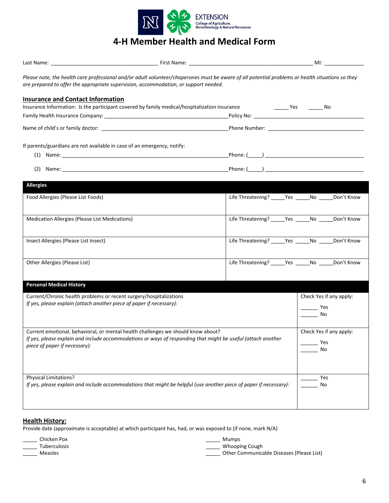

# **4-H Member Health and Medical Form**

|                                                                                                                                                                                                                                   | Please note, the health care professional and/or adult volunteer/chaperones must be aware of all potential problems or health situations so they<br>are prepared to offer the appropriate supervision, accommodation, or support needed. |                                                         |                                      |  |
|-----------------------------------------------------------------------------------------------------------------------------------------------------------------------------------------------------------------------------------|------------------------------------------------------------------------------------------------------------------------------------------------------------------------------------------------------------------------------------------|---------------------------------------------------------|--------------------------------------|--|
| <b>Insurance and Contact Information</b>                                                                                                                                                                                          | Insurance Information: Is the participant covered by family medical/hospitalization insurance                                                                                                                                            |                                                         |                                      |  |
|                                                                                                                                                                                                                                   |                                                                                                                                                                                                                                          |                                                         |                                      |  |
|                                                                                                                                                                                                                                   |                                                                                                                                                                                                                                          |                                                         |                                      |  |
|                                                                                                                                                                                                                                   | If parents/guardians are not available in case of an emergency, notify:                                                                                                                                                                  |                                                         |                                      |  |
|                                                                                                                                                                                                                                   | $(1)$ Name:                                                                                                                                                                                                                              |                                                         |                                      |  |
|                                                                                                                                                                                                                                   |                                                                                                                                                                                                                                          |                                                         |                                      |  |
| <b>Allergies</b>                                                                                                                                                                                                                  |                                                                                                                                                                                                                                          |                                                         |                                      |  |
| Food Allergies (Please List Foods)                                                                                                                                                                                                |                                                                                                                                                                                                                                          | Life Threatening? _____ Yes ______ No ______ Don't Know |                                      |  |
| Medication Allergies (Please List Medications)                                                                                                                                                                                    |                                                                                                                                                                                                                                          | Life Threatening? ______ Yes ______ No _____            | Don't Know                           |  |
| Insect Allergies (Please List Insect)                                                                                                                                                                                             |                                                                                                                                                                                                                                          | Life Threatening? _____ Yes ______ No _____ Don't Know  |                                      |  |
| Other Allergies (Please List)                                                                                                                                                                                                     |                                                                                                                                                                                                                                          | Life Threatening? _____ Yes ______ No ______ Don't Know |                                      |  |
| <b>Personal Medical History</b>                                                                                                                                                                                                   |                                                                                                                                                                                                                                          |                                                         |                                      |  |
|                                                                                                                                                                                                                                   | Current/Chronic health problems or recent surgery/hospitalizations                                                                                                                                                                       |                                                         | Check Yes if any apply:              |  |
|                                                                                                                                                                                                                                   | If yes, please explain (attach another piece of paper if necessary):                                                                                                                                                                     |                                                         | Yes<br>No                            |  |
| Current emotional, behavioral, or mental health challenges we should know about?<br>If yes, please explain and include accommodations or ways of responding that might be useful (attach another<br>piece of paper if necessary): |                                                                                                                                                                                                                                          |                                                         | Check Yes if any apply:<br>Yes<br>No |  |
| Physical Limitations?                                                                                                                                                                                                             | If yes, please explain and include accommodations that might be helpful (use another piece of paper if necessary):                                                                                                                       |                                                         | Yes<br>No                            |  |

### **Health History:**

Provide date (approximate is acceptable) at which participant has, had, or was exposed to (if none, mark N/A)

\_\_\_\_\_ Chicken Pox

\_\_\_\_\_ Tuberculosis \_\_\_\_\_ Measles

\_\_\_\_\_ Mumps

\_\_\_\_\_ Whooping Cough

\_\_\_\_\_ Other Communicable Diseases (Please List)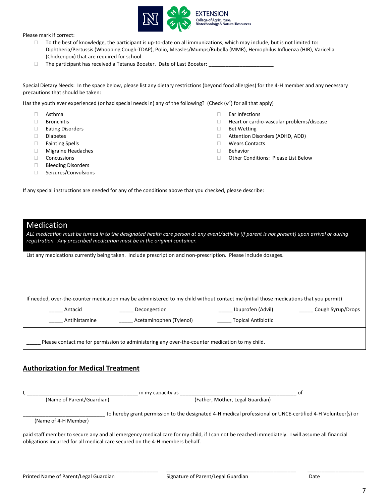

Please mark if correct:

- $\Box$  To the best of knowledge, the participant is up-to-date on all immunizations, which may include, but is not limited to: Diphtheria/Pertussis (Whooping Cough-TDAP), Polio, Measles/Mumps/Rubella (MMR), Hemophilus Influenza (HIB), Varicella (Chickenpox) that are required for school.
- $\Box$  The participant has received a Tetanus Booster. Date of Last Booster:

Special Dietary Needs: In the space below, please list any dietary restrictions (beyond food allergies) for the 4-H member and any necessary precautions that should be taken:

Has the youth ever experienced (or had special needs in) any of the following? (Check  $(v')$  for all that apply)

- $\Box$  Asthma
- □ Bronchitis
- □ Eating Disorders
- Diabetes
- Fainting Spells
- Migraine Headaches
- Concussions
- □ Bleeding Disorders
- □ Seizures/Convulsions
- Ear Infections
- □ Heart or cardio-vascular problems/disease
- □ Bet Wetting
- Attention Disorders (ADHD, ADD)
- Wears Contacts
- Behavior
- □ Other Conditions: Please List Below

If any special instructions are needed for any of the conditions above that you checked, please describe:

|  | <b>Medication</b> |  |  |
|--|-------------------|--|--|
|  |                   |  |  |

*ALL medication must be turned in to the designated health care person at any event/activity (if parent is not present) upon arrival or during registration. Any prescribed medication must be in the original container.*

List any medications currently being taken. Include prescription and non-prescription. Please include dosages.

If needed, over-the-counter medication may be administered to my child without contact me (initial those medications that you permit) Antacid \_\_\_\_\_\_\_\_\_\_\_\_ Decongestion \_\_\_\_\_\_\_\_ \_\_\_\_\_\_\_\_\_\_\_\_ Ibuprofen (Advil) \_\_\_\_\_\_\_\_\_\_ Cough Syrup/Drops Antihistamine **Acetaminophen (Tylenol)** Topical Antibiotic Please contact me for permission to administering any over-the-counter medication to my child.

#### **Authorization for Medical Treatment**

I, \_\_\_\_\_\_\_\_\_\_\_\_\_\_\_\_\_\_\_\_\_\_\_\_\_\_\_\_\_\_\_\_\_\_\_\_\_\_\_ in my capacity as \_\_\_\_\_\_\_\_\_\_\_\_\_\_\_\_\_\_\_\_\_\_\_\_\_\_\_\_\_\_\_\_\_\_\_\_\_\_\_\_\_ of (Name of Parent/Guardian) (Father, Mother, Legal Guardian)

to hereby grant permission to the designated 4-H medical professional or UNCE-certified 4-H Volunteer(s) or

(Name of 4-H Member)

paid staff member to secure any and all emergency medical care for my child, if I can not be reached immediately. I will assume all financial obligations incurred for all medical care secured on the 4-H members behalf.

\_\_\_\_\_\_\_\_\_\_\_\_\_\_\_\_\_\_\_\_\_\_\_\_\_\_\_\_\_\_\_\_\_\_\_\_\_\_\_\_\_\_\_\_\_\_\_ \_\_\_\_\_\_\_\_\_\_\_\_\_\_\_\_\_\_\_\_\_\_\_\_\_\_\_\_\_\_\_\_\_\_\_\_\_\_\_\_\_\_\_\_\_\_ \_\_\_\_\_\_\_\_\_\_\_\_\_\_\_\_\_\_\_\_